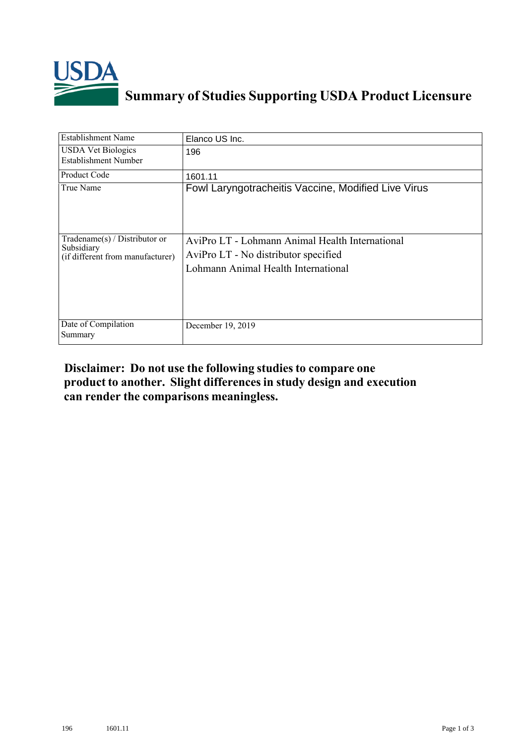

## **Summary of Studies Supporting USDA Product Licensure**

| <b>Establishment Name</b>                                                          | Elanco US Inc.                                                                                                                 |
|------------------------------------------------------------------------------------|--------------------------------------------------------------------------------------------------------------------------------|
| <b>USDA Vet Biologics</b><br>Establishment Number                                  | 196                                                                                                                            |
| <b>Product Code</b>                                                                | 1601.11                                                                                                                        |
| True Name                                                                          | Fowl Laryngotracheitis Vaccine, Modified Live Virus                                                                            |
| Tradename $(s)$ / Distributor or<br>Subsidiary<br>(if different from manufacturer) | AviPro LT - Lohmann Animal Health International<br>AviPro LT - No distributor specified<br>Lohmann Animal Health International |
| Date of Compilation<br>Summary                                                     | December 19, 2019                                                                                                              |

## **Disclaimer: Do not use the following studiesto compare one product to another. Slight differencesin study design and execution can render the comparisons meaningless.**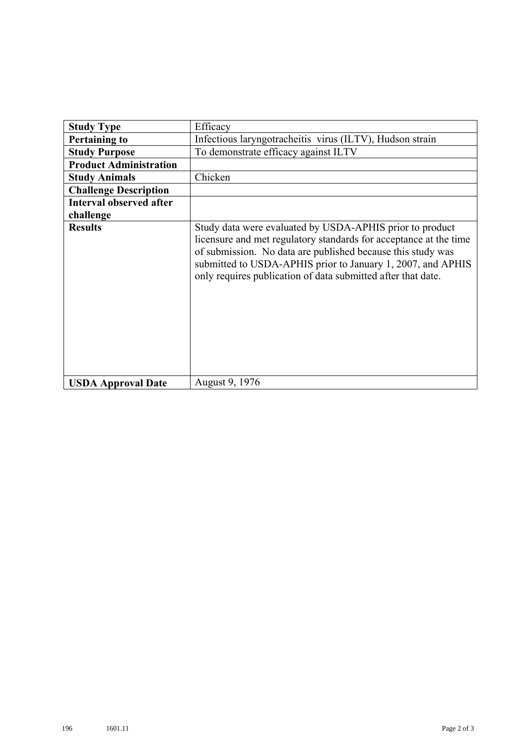| <b>Study Type</b>              | Efficacy                                                                                                                                                                                                                                                                                                                    |
|--------------------------------|-----------------------------------------------------------------------------------------------------------------------------------------------------------------------------------------------------------------------------------------------------------------------------------------------------------------------------|
| <b>Pertaining to</b>           | Infectious laryngotracheitis virus (ILTV), Hudson strain                                                                                                                                                                                                                                                                    |
| <b>Study Purpose</b>           | To demonstrate efficacy against ILTV                                                                                                                                                                                                                                                                                        |
| <b>Product Administration</b>  |                                                                                                                                                                                                                                                                                                                             |
| <b>Study Animals</b>           | Chicken                                                                                                                                                                                                                                                                                                                     |
| <b>Challenge Description</b>   |                                                                                                                                                                                                                                                                                                                             |
| <b>Interval observed after</b> |                                                                                                                                                                                                                                                                                                                             |
| challenge                      |                                                                                                                                                                                                                                                                                                                             |
| <b>Results</b>                 | Study data were evaluated by USDA-APHIS prior to product<br>licensure and met regulatory standards for acceptance at the time<br>of submission. No data are published because this study was<br>submitted to USDA-APHIS prior to January 1, 2007, and APHIS<br>only requires publication of data submitted after that date. |
| <b>USDA Approval Date</b>      | August 9, 1976                                                                                                                                                                                                                                                                                                              |